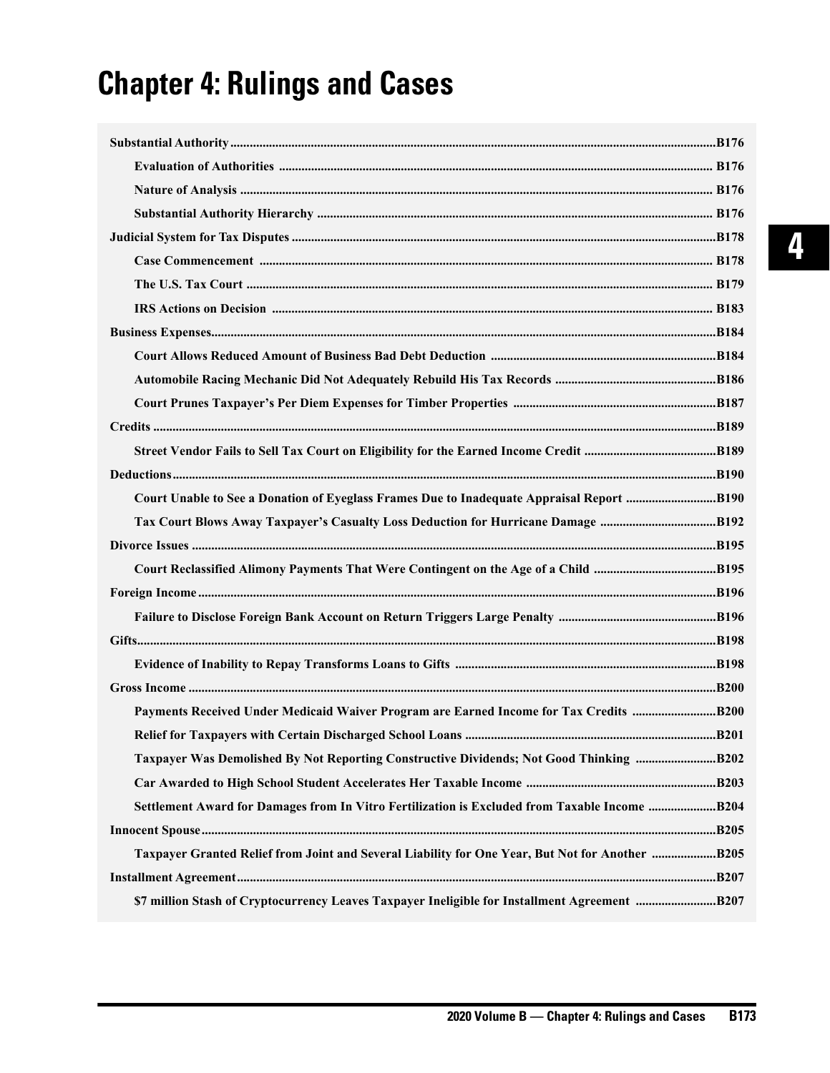## **Chapter 4: Rulings and Cases**

| Court Unable to See a Donation of Eyeglass Frames Due to Inadequate Appraisal Report B190       |      |
|-------------------------------------------------------------------------------------------------|------|
| Tax Court Blows Away Taxpayer's Casualty Loss Deduction for Hurricane Damage B192               |      |
|                                                                                                 |      |
|                                                                                                 |      |
|                                                                                                 |      |
|                                                                                                 |      |
|                                                                                                 |      |
|                                                                                                 |      |
|                                                                                                 |      |
| Payments Received Under Medicaid Waiver Program are Earned Income for Tax Credits B200          |      |
|                                                                                                 | B201 |
| Taxpayer Was Demolished By Not Reporting Constructive Dividends; Not Good Thinking B202         |      |
|                                                                                                 |      |
|                                                                                                 |      |
|                                                                                                 |      |
| Taxpayer Granted Relief from Joint and Several Liability for One Year, But Not for Another B205 |      |
|                                                                                                 |      |
|                                                                                                 |      |